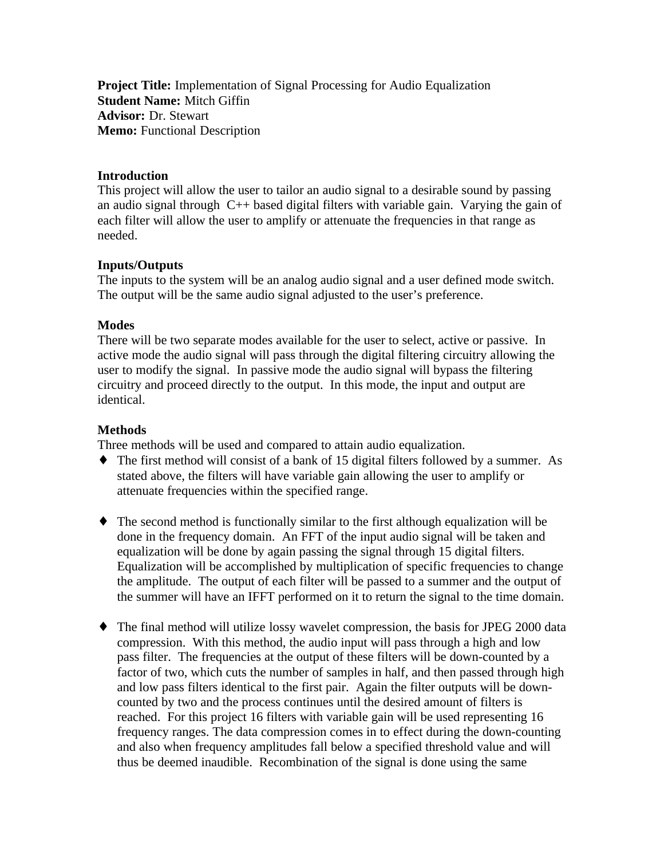**Project Title:** Implementation of Signal Processing for Audio Equalization **Student Name:** Mitch Giffin **Advisor:** Dr. Stewart **Memo:** Functional Description

#### **Introduction**

This project will allow the user to tailor an audio signal to a desirable sound by passing an audio signal through C++ based digital filters with variable gain. Varying the gain of each filter will allow the user to amplify or attenuate the frequencies in that range as needed.

## **Inputs/Outputs**

The inputs to the system will be an analog audio signal and a user defined mode switch. The output will be the same audio signal adjusted to the user's preference.

#### **Modes**

There will be two separate modes available for the user to select, active or passive. In active mode the audio signal will pass through the digital filtering circuitry allowing the user to modify the signal. In passive mode the audio signal will bypass the filtering circuitry and proceed directly to the output. In this mode, the input and output are identical.

## **Methods**

Three methods will be used and compared to attain audio equalization.

- ♦ The first method will consist of a bank of 15 digital filters followed by a summer. As stated above, the filters will have variable gain allowing the user to amplify or attenuate frequencies within the specified range.
- ♦ The second method is functionally similar to the first although equalization will be done in the frequency domain. An FFT of the input audio signal will be taken and equalization will be done by again passing the signal through 15 digital filters. Equalization will be accomplished by multiplication of specific frequencies to change the amplitude. The output of each filter will be passed to a summer and the output of the summer will have an IFFT performed on it to return the signal to the time domain.
- ♦ The final method will utilize lossy wavelet compression, the basis for JPEG 2000 data compression. With this method, the audio input will pass through a high and low pass filter. The frequencies at the output of these filters will be down-counted by a factor of two, which cuts the number of samples in half, and then passed through high and low pass filters identical to the first pair. Again the filter outputs will be downcounted by two and the process continues until the desired amount of filters is reached. For this project 16 filters with variable gain will be used representing 16 frequency ranges. The data compression comes in to effect during the down-counting and also when frequency amplitudes fall below a specified threshold value and will thus be deemed inaudible. Recombination of the signal is done using the same